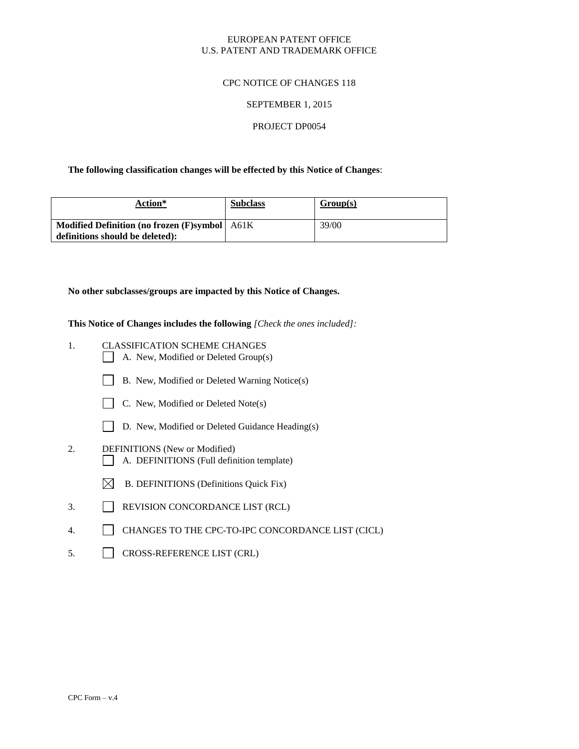### EUROPEAN PATENT OFFICE U.S. PATENT AND TRADEMARK OFFICE

### CPC NOTICE OF CHANGES 118

#### SEPTEMBER 1, 2015

#### PROJECT DP0054

### **The following classification changes will be effected by this Notice of Changes**:

| Action*                                         | <b>Subclass</b> | Group(s) |
|-------------------------------------------------|-----------------|----------|
| Modified Definition (no frozen (F)symbol   A61K |                 | 39/00    |
| definitions should be deleted):                 |                 |          |

## **No other subclasses/groups are impacted by this Notice of Changes.**

**This Notice of Changes includes the following** *[Check the ones included]:*

- 1. CLASSIFICATION SCHEME CHANGES
	- A. New, Modified or Deleted Group(s)
	- B. New, Modified or Deleted Warning Notice(s)



- $\Box$ D. New, Modified or Deleted Guidance Heading(s)
- 2. DEFINITIONS (New or Modified) A. DEFINITIONS (Full definition template)
	- $\boxtimes$  B. DEFINITIONS (Definitions Quick Fix)
- 3. REVISION CONCORDANCE LIST (RCL)
- 4. CHANGES TO THE CPC-TO-IPC CONCORDANCE LIST (CICL)
- 5. CROSS-REFERENCE LIST (CRL)